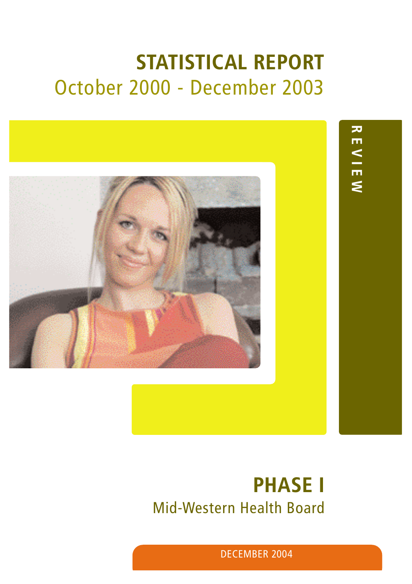# **STATISTICAL REPORT** October 2000 - December 2003



**REVIEW REVIEW**

# **PHASE I**  Mid-Western Health Board

DECEMBER 2004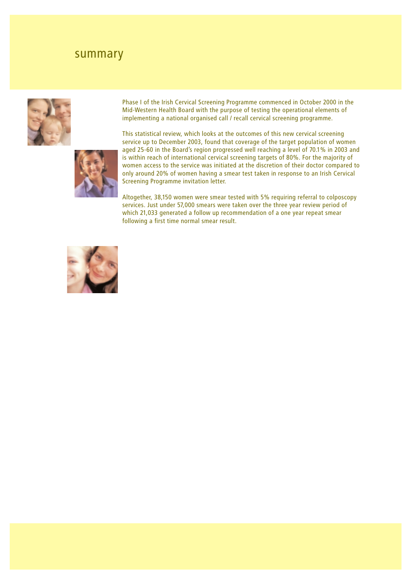## summary





Phase I of the Irish Cervical Screening Programme commenced in October 2000 in the Mid-Western Health Board with the purpose of testing the operational elements of implementing a national organised call / recall cervical screening programme.

This statistical review, which looks at the outcomes of this new cervical screening service up to December 2003, found that coverage of the target population of women aged 25-60 in the Board's region progressed well reaching a level of 70.1% in 2003 and is within reach of international cervical screening targets of 80%. For the majority of women access to the service was initiated at the discretion of their doctor compared to only around 20% of women having a smear test taken in response to an Irish Cervical Screening Programme invitation letter.

Altogether, 38,150 women were smear tested with 5% requiring referral to colposcopy services. Just under 57,000 smears were taken over the three year review period of which 21,033 generated a follow up recommendation of a one year repeat smear following a first time normal smear result.

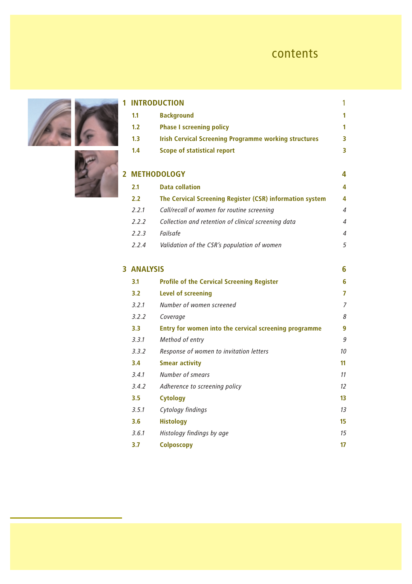# contents

| 1              |                   | <b>INTRODUCTION</b>                                          | 1                |
|----------------|-------------------|--------------------------------------------------------------|------------------|
|                | 1.1               | <b>Background</b>                                            | 1                |
|                | 1.2               | <b>Phase I screening policy</b>                              | 1                |
|                | 1.3               | <b>Irish Cervical Screening Programme working structures</b> | 3                |
|                | 1.4               | <b>Scope of statistical report</b>                           | 3                |
| $\overline{2}$ |                   | <b>METHODOLOGY</b>                                           | 4                |
|                | 2.1               | <b>Data collation</b>                                        | 4                |
|                | 2.2               | The Cervical Screening Register (CSR) information system     | 4                |
|                | 2.2.1             | Call/recall of women for routine screening                   | $\overline{4}$   |
|                | 2.2.2             | Collection and retention of clinical screening data          | $\overline{4}$   |
|                | 2.2.3             | Failsafe                                                     | 4                |
|                | 2.2.4             | Validation of the CSR's population of women                  | 5                |
|                | <b>3 ANALYSIS</b> |                                                              | 6                |
|                | 3.1               | <b>Profile of the Cervical Screening Register</b>            | 6                |
|                | 3.2               | <b>Level of screening</b>                                    | 7                |
|                | 3.2.1             | Number of women screened                                     | $\overline{7}$   |
|                | 3.2.2             | Coverage                                                     | 8                |
|                | 3.3               | Entry for women into the cervical screening programme        | 9                |
|                | 3.3.1             | Method of entry                                              | 9                |
|                | 3.3.2             | Response of women to invitation letters                      | 10 <sup>10</sup> |
|                | 3.4               | <b>Smear activity</b>                                        | 11               |
|                | 3.4.1             | Number of smears                                             | 11               |
|                | 3.4.2             | Adherence to screening policy                                | 12               |
|                | 3.5               | <b>Cytology</b>                                              | 13               |
|                | 3.5.1             | Cytology findings                                            | 13               |
|                | 3.6               | <b>Histology</b>                                             | 15               |
|                | 3.6.1             | Histology findings by age                                    | 15               |
|                | 3.7               | <b>Colposcopy</b>                                            | 17               |



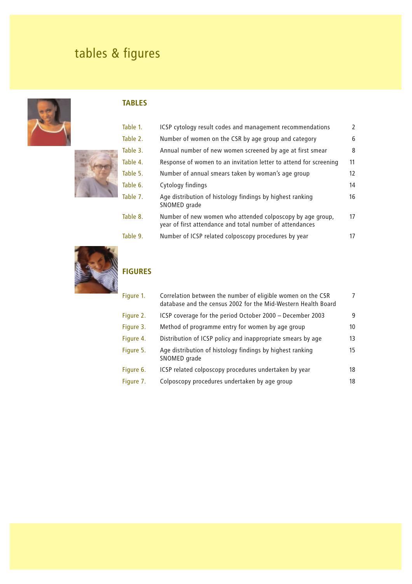# tables & figures





## **TABLES**

| Table 1. | ICSP cytology result codes and management recommendations                                                             | $\mathcal{P}$ |
|----------|-----------------------------------------------------------------------------------------------------------------------|---------------|
| Table 2. | Number of women on the CSR by age group and category                                                                  | 6             |
| Table 3. | Annual number of new women screened by age at first smear                                                             | 8             |
| Table 4. | Response of women to an invitation letter to attend for screening                                                     | 11            |
| Table 5. | Number of annual smears taken by woman's age group                                                                    | 12            |
| Table 6. | Cytology findings                                                                                                     | 14            |
| Table 7. | Age distribution of histology findings by highest ranking<br>SNOMED grade                                             | 16            |
| Table 8. | Number of new women who attended colposcopy by age group,<br>year of first attendance and total number of attendances | 17            |
| Table 9. | Number of ICSP related colposcopy procedures by year                                                                  | 17            |
|          |                                                                                                                       |               |



## **FIGURES**

| Figure 1. | Correlation between the number of eligible women on the CSR<br>database and the census 2002 for the Mid-Western Health Board | 7  |
|-----------|------------------------------------------------------------------------------------------------------------------------------|----|
| Figure 2. | ICSP coverage for the period October 2000 - December 2003                                                                    | 9  |
| Figure 3. | Method of programme entry for women by age group                                                                             | 10 |
| Figure 4. | Distribution of ICSP policy and inappropriate smears by age                                                                  | 13 |
| Figure 5. | Age distribution of histology findings by highest ranking<br>SNOMED grade                                                    | 15 |
| Figure 6. | ICSP related colposcopy procedures undertaken by year                                                                        | 18 |
| Figure 7. | Colposcopy procedures undertaken by age group                                                                                | 18 |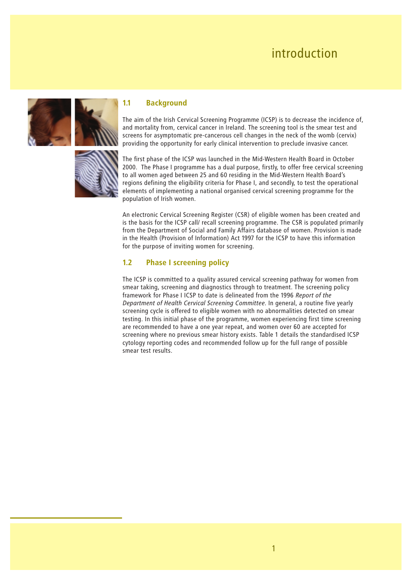# introduction





### **1.1 Background**

The aim of the Irish Cervical Screening Programme (ICSP) is to decrease the incidence of, and mortality from, cervical cancer in Ireland. The screening tool is the smear test and screens for asymptomatic pre-cancerous cell changes in the neck of the womb (cervix) providing the opportunity for early clinical intervention to preclude invasive cancer.

The first phase of the ICSP was launched in the Mid-Western Health Board in October 2000. The Phase I programme has a dual purpose, firstly, to offer free cervical screening to all women aged between 25 and 60 residing in the Mid-Western Health Board's regions defining the eligibility criteria for Phase I, and secondly, to test the operational elements of implementing a national organised cervical screening programme for the population of Irish women.

An electronic Cervical Screening Register (CSR) of eligible women has been created and is the basis for the ICSP call/ recall screening programme. The CSR is populated primarily from the Department of Social and Family Affairs database of women. Provision is made in the Health (Provision of Information) Act 1997 for the ICSP to have this information for the purpose of inviting women for screening.

### **1.2 Phase I screening policy**

The ICSP is committed to a quality assured cervical screening pathway for women from smear taking, screening and diagnostics through to treatment. The screening policy framework for Phase I ICSP to date is delineated from the 1996 *Report of the Department of Health Cervical Screening Committee*. In general, a routine five yearly screening cycle is offered to eligible women with no abnormalities detected on smear testing. In this initial phase of the programme, women experiencing first time screening are recommended to have a one year repeat, and women over 60 are accepted for screening where no previous smear history exists. Table 1 details the standardised ICSP cytology reporting codes and recommended follow up for the full range of possible smear test results.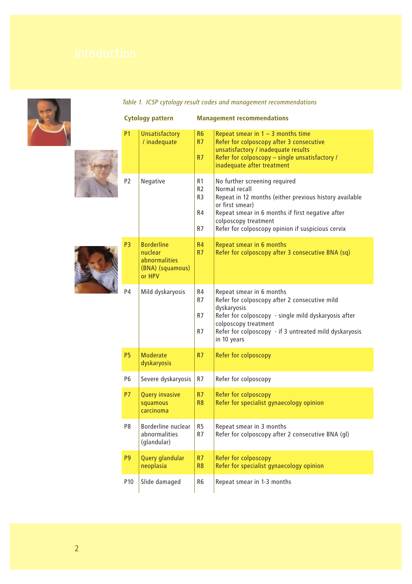



|  |  |  | Table 1. ICSP cytology result codes and management recommendations |
|--|--|--|--------------------------------------------------------------------|
|  |  |  |                                                                    |

|                 | <b>Cytology pattern</b>                                                     |                                                    | <b>Management recommendations</b>                                                                                                                                                                                                                            |
|-----------------|-----------------------------------------------------------------------------|----------------------------------------------------|--------------------------------------------------------------------------------------------------------------------------------------------------------------------------------------------------------------------------------------------------------------|
| <b>P1</b>       | <b>Unsatisfactory</b><br>/ inadequate                                       | R <sub>6</sub><br>R7<br>R7                         | Repeat smear in $1 - 3$ months time<br>Refer for colposcopy after 3 consecutive<br>unsatisfactory / inadequate results<br>Refer for colposcopy - single unsatisfactory /<br>inadequate after treatment                                                       |
| P <sub>2</sub>  | Negative                                                                    | R1<br>R <sub>2</sub><br>R <sub>3</sub><br>R4<br>R7 | No further screening required<br>Normal recall<br>Repeat in 12 months (either previous history available<br>or first smear)<br>Repeat smear in 6 months if first negative after<br>colposcopy treatment<br>Refer for colposcopy opinion if suspicious cervix |
| P <sub>3</sub>  | <b>Borderline</b><br>nuclear<br>abnormalities<br>(BNA) (squamous)<br>or HPV | R <sub>4</sub><br>R7                               | Repeat smear in 6 months<br>Refer for colposcopy after 3 consecutive BNA (sq)                                                                                                                                                                                |
| P <sub>4</sub>  | Mild dyskaryosis                                                            | R4<br>R7<br>R <sub>7</sub><br>R <sub>7</sub>       | Repeat smear in 6 months<br>Refer for colposcopy after 2 consecutive mild<br>dyskaryosis<br>Refer for colposcopy - single mild dyskaryosis after<br>colposcopy treatment<br>Refer for colposcopy - if 3 untreated mild dyskaryosis<br>in 10 years            |
| <b>P5</b>       | <b>Moderate</b><br>dyskaryosis                                              | R7                                                 | Refer for colposcopy                                                                                                                                                                                                                                         |
| P <sub>6</sub>  | Severe dyskaryosis                                                          | R7                                                 | Refer for colposcopy                                                                                                                                                                                                                                         |
| <b>P7</b>       | <b>Query invasive</b><br>squamous<br>carcinoma                              | R7<br>R <sub>8</sub>                               | Refer for colposcopy<br>Refer for specialist gynaecology opinion                                                                                                                                                                                             |
| P8              | Borderline nuclear<br>abnormalities<br>(glandular)                          | R <sub>5</sub><br>R7                               | Repeat smear in 3 months<br>Refer for colposcopy after 2 consecutive BNA (gl)                                                                                                                                                                                |
| P <sub>9</sub>  | Query glandular<br>neoplasia                                                | R7<br>R <sub>8</sub>                               | Refer for colposcopy<br>Refer for specialist gynaecology opinion                                                                                                                                                                                             |
| P <sub>10</sub> | Slide damaged                                                               | R6                                                 | Repeat smear in 1-3 months                                                                                                                                                                                                                                   |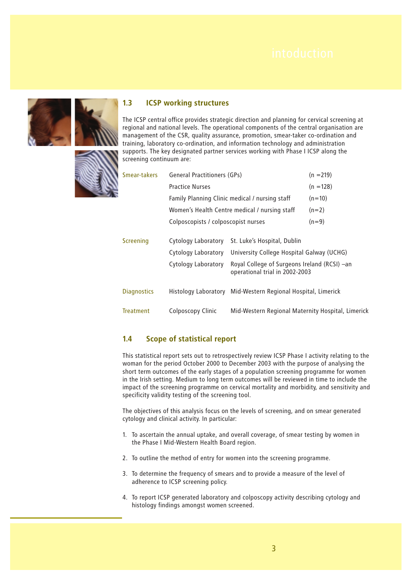

### **1.3 ICSP working structures**

The ICSP central office provides strategic direction and planning for cervical screening at regional and national levels. The operational components of the central organisation are management of the CSR, quality assurance, promotion, smear-taker co-ordination and training, laboratory co-ordination, and information technology and administration supports. The key designated partner services working with Phase I ICSP along the screening continuum are:



| Smear-takers       | General Practitioners (GPs)         |                                                                                | $(n = 219)$ |
|--------------------|-------------------------------------|--------------------------------------------------------------------------------|-------------|
|                    | <b>Practice Nurses</b>              |                                                                                | $(n = 128)$ |
|                    |                                     | Family Planning Clinic medical / nursing staff                                 | $(n=10)$    |
|                    |                                     | Women's Health Centre medical / nursing staff                                  | $(n=2)$     |
|                    | Colposcopists / colposcopist nurses |                                                                                | $(n=9)$     |
| <b>Screening</b>   | Cytology Laboratory                 | St. Luke's Hospital, Dublin                                                    |             |
|                    | Cytology Laboratory                 | University College Hospital Galway (UCHG)                                      |             |
|                    | Cytology Laboratory                 | Royal College of Surgeons Ireland (RCSI) -an<br>operational trial in 2002-2003 |             |
| <b>Diagnostics</b> | Histology Laboratory                | Mid-Western Regional Hospital, Limerick                                        |             |
| <b>Treatment</b>   | Colposcopy Clinic                   | Mid-Western Regional Maternity Hospital, Limerick                              |             |

### **1.4 Scope of statistical report**

This statistical report sets out to retrospectively review ICSP Phase I activity relating to the woman for the period October 2000 to December 2003 with the purpose of analysing the short term outcomes of the early stages of a population screening programme for women in the Irish setting. Medium to long term outcomes will be reviewed in time to include the impact of the screening programme on cervical mortality and morbidity, and sensitivity and specificity validity testing of the screening tool.

The objectives of this analysis focus on the levels of screening, and on smear generated cytology and clinical activity. In particular:

- 1. To ascertain the annual uptake, and overall coverage, of smear testing by women in the Phase I Mid-Western Health Board region.
- 2. To outline the method of entry for women into the screening programme.
- 3. To determine the frequency of smears and to provide a measure of the level of adherence to ICSP screening policy.
- 4. To report ICSP generated laboratory and colposcopy activity describing cytology and histology findings amongst women screened.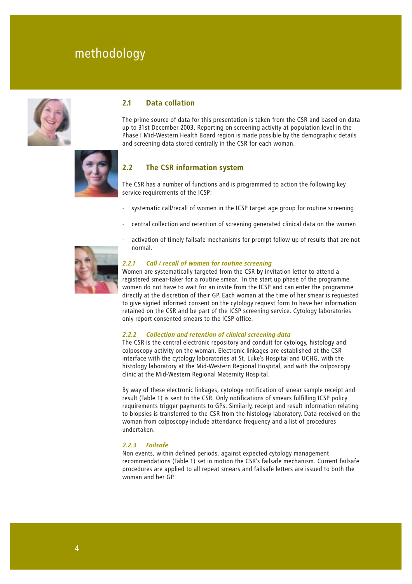# methodology



### **2.1 Data collation**

The prime source of data for this presentation is taken from the CSR and based on data up to 31st December 2003. Reporting on screening activity at population level in the Phase I Mid-Western Health Board region is made possible by the demographic details and screening data stored centrally in the CSR for each woman.



### **2.2 The CSR information system**

The CSR has a number of functions and is programmed to action the following key service requirements of the ICSP:

- systematic call/recall of women in the ICSP target age group for routine screening
- central collection and retention of screening generated clinical data on the women
- activation of timely failsafe mechanisms for prompt follow up of results that are not normal.



### *2.2.1 Call / recall of women for routine screening*

Women are systematically targeted from the CSR by invitation letter to attend a registered smear-taker for a routine smear. In the start up phase of the programme, women do not have to wait for an invite from the ICSP and can enter the programme directly at the discretion of their GP. Each woman at the time of her smear is requested to give signed informed consent on the cytology request form to have her information retained on the CSR and be part of the ICSP screening service. Cytology laboratories only report consented smears to the ICSP office.

### *2.2.2 Collection and retention of clinical screening data*

The CSR is the central electronic repository and conduit for cytology, histology and colposcopy activity on the woman. Electronic linkages are established at the CSR interface with the cytology laboratories at St. Luke's Hospital and UCHG, with the histology laboratory at the Mid-Western Regional Hospital, and with the colposcopy clinic at the Mid-Western Regional Maternity Hospital.

By way of these electronic linkages, cytology notification of smear sample receipt and result (Table 1) is sent to the CSR. Only notifications of smears fulfilling ICSP policy requirements trigger payments to GPs. Similarly, receipt and result information relating to biopsies is transferred to the CSR from the histology laboratory. Data received on the woman from colposcopy include attendance frequency and a list of procedures undertaken.

### *2.2.3 Failsafe*

Non events, within defined periods, against expected cytology management recommendations (Table 1) set in motion the CSR's failsafe mechanism. Current failsafe procedures are applied to all repeat smears and failsafe letters are issued to both the woman and her GP.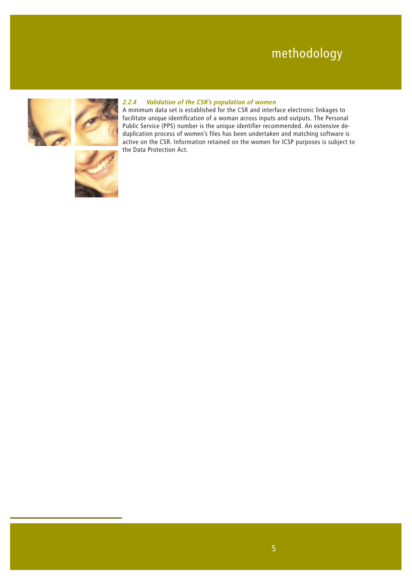# methodology



### *2.2.4 Validation of the CSR's population of women*

A minimum data set is established for the CSR and interface electronic linkages to facilitate unique identification of a woman across inputs and outputs. The Personal Public Service (PPS) number is the unique identifier recommended. An extensive deduplication process of women's files has been undertaken and matching software is active on the CSR. Information retained on the women for ICSP purposes is subject to the Data Protection Act.

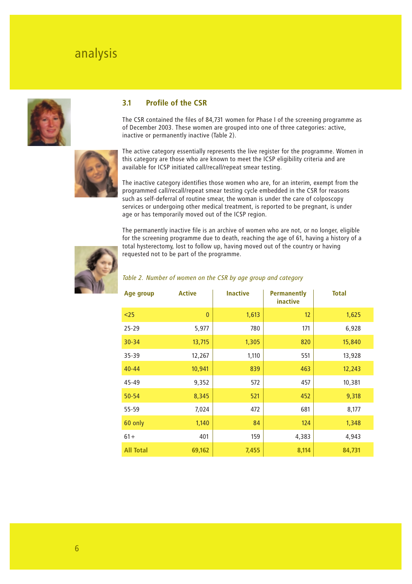# analysis



### **3.1 Profile of the CSR**

The CSR contained the files of 84,731 women for Phase I of the screening programme as of December 2003. These women are grouped into one of three categories: active, inactive or permanently inactive (Table 2).



The active category essentially represents the live register for the programme. Women in this category are those who are known to meet the ICSP eligibility criteria and are available for ICSP initiated call/recall/repeat smear testing.

The inactive category identifies those women who are, for an interim, exempt from the programmed call/recall/repeat smear testing cycle embedded in the CSR for reasons such as self-deferral of routine smear, the woman is under the care of colposcopy services or undergoing other medical treatment, is reported to be pregnant, is under age or has temporarily moved out of the ICSP region.

The permanently inactive file is an archive of women who are not, or no longer, eligible for the screening programme due to death, reaching the age of 61, having a history of a total hysterectomy, lost to follow up, having moved out of the country or having requested not to be part of the programme.



### *Table 2. Number of women on the CSR by age group and category*

| Age group        | <b>Active</b> | <b>Inactive</b> | <b>Permanently</b><br>inactive | <b>Total</b> |
|------------------|---------------|-----------------|--------------------------------|--------------|
| $25$             | $\mathbf{0}$  | 1,613           | 12                             | 1,625        |
| $25 - 29$        | 5,977         | 780             | 171                            | 6,928        |
| $30 - 34$        | 13,715        | 1,305           | 820                            | 15,840       |
| $35 - 39$        | 12,267        | 1,110           | 551                            | 13,928       |
| $40 - 44$        | 10,941        | 839             | 463                            | 12,243       |
| 45-49            | 9,352         | 572             | 457                            | 10,381       |
| $50 - 54$        | 8,345         | 521             | 452                            | 9,318        |
| 55-59            | 7,024         | 472             | 681                            | 8,177        |
| 60 only          | 1,140         | 84              | 124                            | 1,348        |
| $61 +$           | 401           | 159             | 4,383                          | 4,943        |
| <b>All Total</b> | 69,162        | 7,455           | 8,114                          | 84,731       |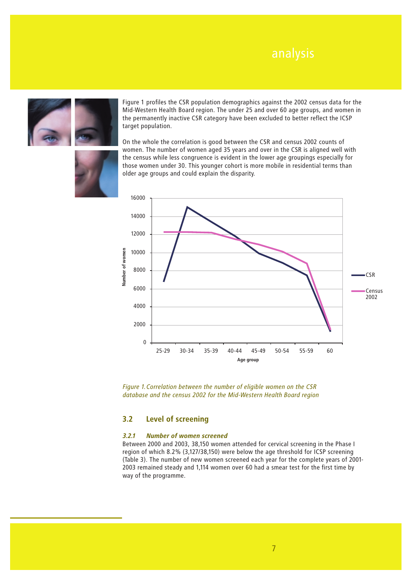

Figure 1 profiles the CSR population demographics against the 2002 census data for the Mid-Western Health Board region. The under 25 and over 60 age groups, and women in the permanently inactive CSR category have been excluded to better reflect the ICSP target population.



On the whole the correlation is good between the CSR and census 2002 counts of women. The number of women aged 35 years and over in the CSR is aligned well with the census while less congruence is evident in the lower age groupings especially for those women under 30. This younger cohort is more mobile in residential terms than older age groups and could explain the disparity.



*Figure 1.Correlation between the number of eligible women on the CSR database and the census 2002 for the Mid-Western Health Board region* 

### **3.2 Level of screening**

### *3.2.1 Number of women screened*

Between 2000 and 2003, 38,150 women attended for cervical screening in the Phase I region of which 8.2% (3,127/38,150) were below the age threshold for ICSP screening (Table 3). The number of new women screened each year for the complete years of 2001- 2003 remained steady and 1,114 women over 60 had a smear test for the first time by way of the programme.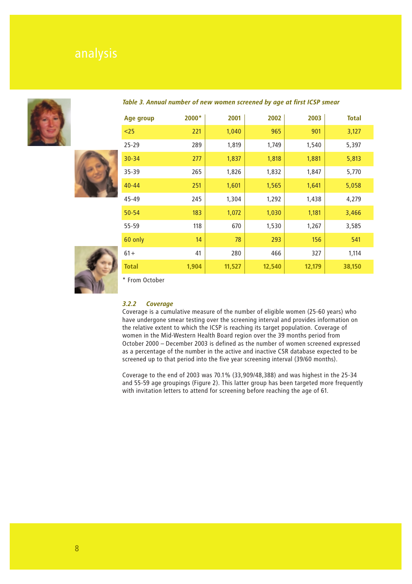





### *Table 3. Annual number of new women screened by age at first ICSP smear*

| Age group    | 2000* | 2001   | 2002   | 2003   | <b>Total</b> |
|--------------|-------|--------|--------|--------|--------------|
| $25$         | 221   | 1,040  | 965    | 901    | 3,127        |
| $25 - 29$    | 289   | 1,819  | 1,749  | 1,540  | 5,397        |
| $30 - 34$    | 277   | 1,837  | 1,818  | 1,881  | 5,813        |
| $35 - 39$    | 265   | 1,826  | 1,832  | 1,847  | 5,770        |
| $40 - 44$    | 251   | 1,601  | 1,565  | 1,641  | 5,058        |
| 45-49        | 245   | 1,304  | 1,292  | 1,438  | 4,279        |
| $50 - 54$    | 183   | 1,072  | 1,030  | 1,181  | 3,466        |
| 55-59        | 118   | 670    | 1,530  | 1,267  | 3,585        |
| 60 only      | 14    | 78     | 293    | 156    | 541          |
| $61 +$       | 41    | 280    | 466    | 327    | 1,114        |
| <b>Total</b> | 1,904 | 11,527 | 12,540 | 12,179 | 38,150       |

\* From October

### *3.2.2 Coverage*

Coverage is a cumulative measure of the number of eligible women (25-60 years) who have undergone smear testing over the screening interval and provides information on the relative extent to which the ICSP is reaching its target population. Coverage of women in the Mid-Western Health Board region over the 39 months period from October 2000 – December 2003 is defined as the number of women screened expressed as a percentage of the number in the active and inactive CSR database expected to be screened up to that period into the five year screening interval (39/60 months).

Coverage to the end of 2003 was 70.1% (33,909/48,388) and was highest in the 25-34 and 55-59 age groupings (Figure 2). This latter group has been targeted more frequently with invitation letters to attend for screening before reaching the age of 61.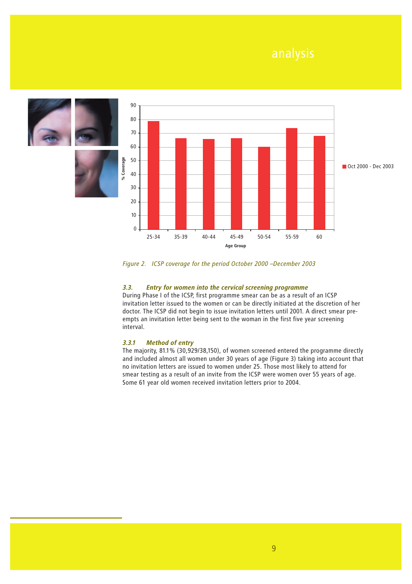

*Figure 2. ICSP coverage for the period October 2000 –December 2003* 

### *3.3. Entry for women into the cervical screening programme*

During Phase I of the ICSP, first programme smear can be as a result of an ICSP invitation letter issued to the women or can be directly initiated at the discretion of her doctor. The ICSP did not begin to issue invitation letters until 2001. A direct smear preempts an invitation letter being sent to the woman in the first five year screening interval.

### *3.3.1 Method of entry*

The majority, 81.1% (30,929/38,150), of women screened entered the programme directly and included almost all women under 30 years of age (Figure 3) taking into account that no invitation letters are issued to women under 25. Those most likely to attend for smear testing as a result of an invite from the ICSP were women over 55 years of age. Some 61 year old women received invitation letters prior to 2004.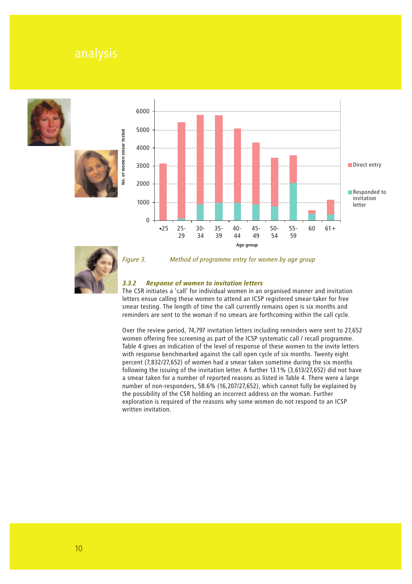







*Figure 3. Method of programme entry for women by age group*

### *3.3.2 Response of women to invitation letters*

The CSR initiates a 'call' for individual women in an organised manner and invitation letters ensue calling these women to attend an ICSP registered smear-taker for free smear testing. The length of time the call currently remains open is six months and reminders are sent to the woman if no smears are forthcoming within the call cycle.

Over the review period, 74,797 invitation letters including reminders were sent to 27,652 women offering free screening as part of the ICSP systematic call / recall programme. Table 4 gives an indication of the level of response of these women to the invite letters with response benchmarked against the call open cycle of six months. Twenty eight percent (7,832/27,652) of women had a smear taken sometime during the six months following the issuing of the invitation letter. A further 13.1% (3,613/27,652) did not have a smear taken for a number of reported reasons as listed in Table 4. There were a large number of non-responders, 58.6% (16,207/27,652), which cannot fully be explained by the possibility of the CSR holding an incorrect address on the woman. Further exploration is required of the reasons why some women do not respond to an ICSP written invitation.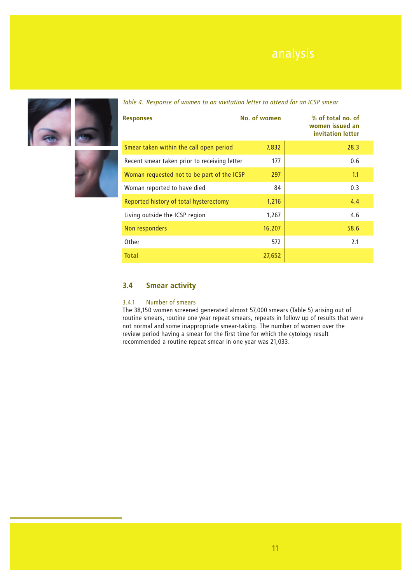





| <b>Responses</b>                             | No. of women | % of total no. of<br>women issued an<br>invitation letter |
|----------------------------------------------|--------------|-----------------------------------------------------------|
| Smear taken within the call open period      | 7,832        | 28.3                                                      |
| Recent smear taken prior to receiving letter | 177          | 0.6                                                       |
| Woman requested not to be part of the ICSP   | 297          | 1.1                                                       |
| Woman reported to have died                  | 84           | 0.3                                                       |
| Reported history of total hysterectomy       | 1,216        | 4.4                                                       |
| Living outside the ICSP region               | 1,267        | 4.6                                                       |
| Non responders                               | 16,207       | 58.6                                                      |
| Other                                        | 572          | 2.1                                                       |
| <b>Total</b>                                 | 27,652       |                                                           |

### *Table 4. Response of women to an invitation letter to attend for an ICSP smear*

### **3.4 Smear activity**

### 3.4.1 Number of smears

The 38,150 women screened generated almost 57,000 smears (Table 5) arising out of routine smears, routine one year repeat smears, repeats in follow up of results that were not normal and some inappropriate smear-taking. The number of women over the review period having a smear for the first time for which the cytology result recommended a routine repeat smear in one year was 21,033.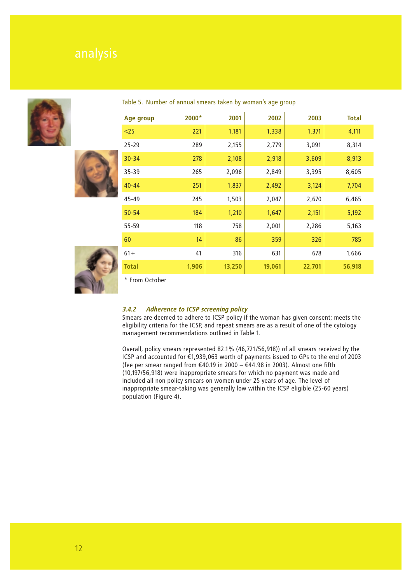





Table 5. Number of annual smears taken by woman's age group

| Age group    | 2000* | 2001   | 2002   | 2003   | <b>Total</b> |
|--------------|-------|--------|--------|--------|--------------|
| $25$         | 221   | 1,181  | 1,338  | 1,371  | 4,111        |
| $25 - 29$    | 289   | 2,155  | 2,779  | 3,091  | 8,314        |
| $30 - 34$    | 278   | 2,108  | 2,918  | 3,609  | 8,913        |
| 35-39        | 265   | 2,096  | 2,849  | 3,395  | 8,605        |
| $40 - 44$    | 251   | 1,837  | 2,492  | 3,124  | 7,704        |
| 45-49        | 245   | 1,503  | 2,047  | 2,670  | 6,465        |
| $50 - 54$    | 184   | 1,210  | 1,647  | 2,151  | 5,192        |
| 55-59        | 118   | 758    | 2,001  | 2,286  | 5,163        |
| 60           | 14    | 86     | 359    | 326    | 785          |
| $61 +$       | 41    | 316    | 631    | 678    | 1,666        |
| <b>Total</b> | 1,906 | 13,250 | 19,061 | 22,701 | 56,918       |

\* From October

### *3.4.2 Adherence to ICSP screening policy*

Smears are deemed to adhere to ICSP policy if the woman has given consent; meets the eligibility criteria for the ICSP, and repeat smears are as a result of one of the cytology management recommendations outlined in Table 1.

Overall, policy smears represented 82.1% (46,721/56,918)) of all smears received by the ICSP and accounted for €1,939,063 worth of payments issued to GPs to the end of 2003 (fee per smear ranged from  $€40.19$  in 2000 –  $€44.98$  in 2003). Almost one fifth (10,197/56,918) were inappropriate smears for which no payment was made and included all non policy smears on women under 25 years of age. The level of inappropriate smear-taking was generally low within the ICSP eligible (25-60 years) population (Figure 4).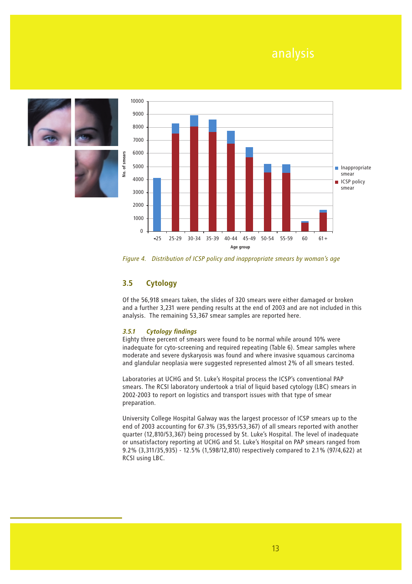

of smears فع<br>ا



*Figure 4. Distribution of ICSP policy and inappropriate smears by woman's age* 

### **3.5 Cytology**

Of the 56,918 smears taken, the slides of 320 smears were either damaged or broken and a further 3,231 were pending results at the end of 2003 and are not included in this analysis. The remaining 53,367 smear samples are reported here.

### *3.5.1 Cytology findings*

Eighty three percent of smears were found to be normal while around 10% were inadequate for cyto-screening and required repeating (Table 6). Smear samples where moderate and severe dyskaryosis was found and where invasive squamous carcinoma and glandular neoplasia were suggested represented almost 2% of all smears tested.

Laboratories at UCHG and St. Luke's Hospital process the ICSP's conventional PAP smears. The RCSI laboratory undertook a trial of liquid based cytology (LBC) smears in 2002-2003 to report on logistics and transport issues with that type of smear preparation.

University College Hospital Galway was the largest processor of ICSP smears up to the end of 2003 accounting for 67.3% (35,935/53,367) of all smears reported with another quarter (12,810/53,367) being processed by St. Luke's Hospital. The level of inadequate or unsatisfactory reporting at UCHG and St. Luke's Hospital on PAP smears ranged from 9.2% (3,311/35,935) - 12.5% (1,598/12,810) respectively compared to 2.1% (97/4,622) at RCSI using LBC.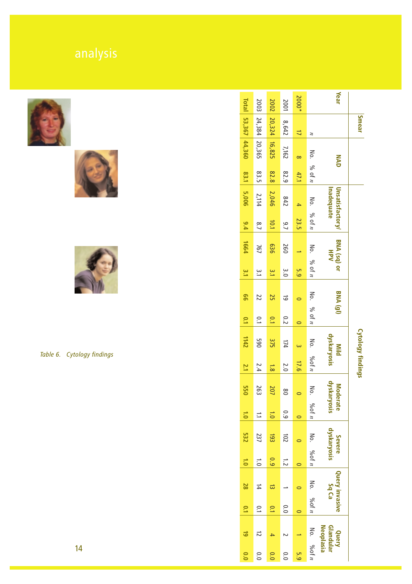







*Table 6. Cytology findings* 

|                          | Year                                   |                         | 2000*          | 2001          | 2002                                 | 2003           | <b>Total</b>    |
|--------------------------|----------------------------------------|-------------------------|----------------|---------------|--------------------------------------|----------------|-----------------|
| <b>Smear</b>             |                                        | $\boldsymbol{z}$        | $\overline{a}$ | 8,642         | 20,324                               |                |                 |
|                          | NAD                                    |                         | $\infty$       | 7,162         | 16,825                               | 24,384 20,365  | 53,367 44,360   |
|                          |                                        | No. % of $n$            | 47.1           | 82.9          | 82.8                                 | 83.5           | 83.1            |
|                          | <b>Unsatisfactory/</b><br>Inadequate   |                         | 4              | 842           | 2,046                                | 2,114          | 5,006           |
|                          |                                        | No. $96$ of n           | 23.5           | $\frac{9}{7}$ | 10.1                                 | $\frac{8}{7}$  | 9.4             |
|                          | BNA (sq) or<br>HPV                     |                         |                | 260           | 936                                  | 767            | 1664            |
|                          |                                        | No. % of $n$            | 5.9            | $\frac{8}{2}$ | $\frac{3}{2}$                        | یب<br>د        | $\frac{3}{2}$   |
|                          | <b>BNA</b> (gl)                        |                         |                | ತ             | S                                    | 22             | 99              |
|                          |                                        | No. % of $n$            |                | 0.2           | $\overline{0}$                       | $\overline{C}$ | $\overline{10}$ |
|                          | dyskaryosis<br>Mild                    | No.                     |                | 174           | 375                                  | 065            | 1142            |
| <b>Cytology findings</b> |                                        | 0.01n                   | 17.6           | 2.0           | $\overline{\overline{\overline{8}}}$ | 2.4            | $\overline{z}$  |
|                          | dyskary<br><b>Moderate</b>             | No.                     |                | $\frac{8}{2}$ | 207                                  | 263            | <b>550</b>      |
|                          | vosis                                  | $\eta$ bol $n$          | $\circ$        | 0.9           | $\overline{0}$                       | Ξ              | $\overline{0}$  |
|                          | dyskaryosis<br>Severe                  |                         |                | 102           | 53                                   | 237            | 532             |
|                          |                                        | No. $\frac{9}{6}$ of n  |                | $\frac{1}{2}$ | 0.9                                  | $\overline{0}$ | $\ddot{\circ}$  |
|                          | <b>Query invasive</b><br>Sq Ca         |                         |                |               | ದ                                    | $\frac{1}{4}$  | 28              |
|                          |                                        | No. $\%$ of <i>n</i>    | $\circ$        | 0.0           | $\overline{C}$                       | $\overline{C}$ | $\overline{10}$ |
|                          | <b>Neoplasia</b><br>Glandular<br>Query |                         |                |               |                                      | ದ              | ತ               |
|                          |                                        | No. $\frac{9}{60}$ of n | 5.9            | 0.0           | 0.0                                  | 0.0            | 0.0             |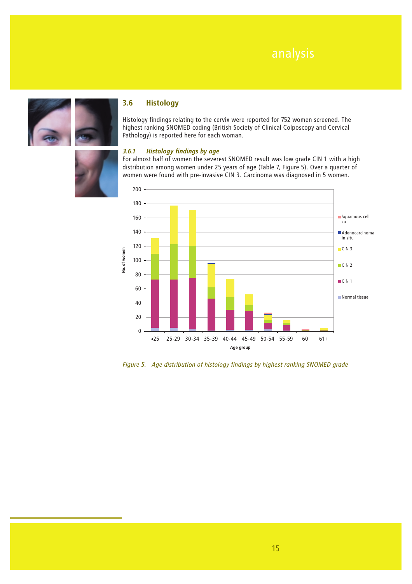



### **3.6 Histology**

Histology findings relating to the cervix were reported for 752 women screened. The highest ranking SNOMED coding (British Society of Clinical Colposcopy and Cervical Pathology) is reported here for each woman.



### *3.6.1 Histology findings by age*

For almost half of women the severest SNOMED result was low grade CIN 1 with a high distribution among women under 25 years of age (Table 7, Figure 5). Over a quarter of women were found with pre-invasive CIN 3. Carcinoma was diagnosed in 5 women.



*Figure 5. Age distribution of histology findings by highest ranking SNOMED grade*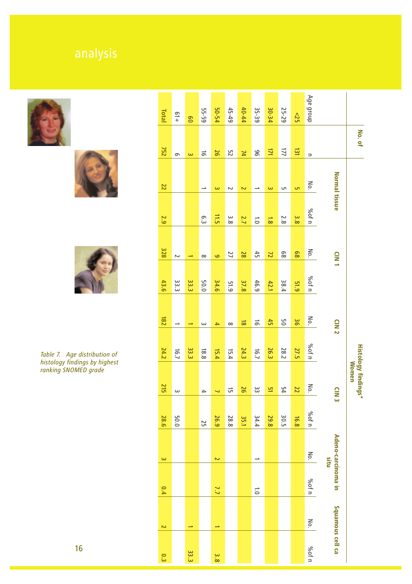





### *Table 7. Age distribution of histology findings by highest ranking SNOMED grade*

|                                                   |                            | Age group            | 52              | 25-29       | 30-34                    | 35-39          | 40-44     | $45 - 49$ . |                  | 50-54     | 55-59    | 8      | $+19$                   |
|---------------------------------------------------|----------------------------|----------------------|-----------------|-------------|--------------------------|----------------|-----------|-------------|------------------|-----------|----------|--------|-------------------------|
| No. of                                            |                            |                      | $\overline{31}$ | 171         | 77                       | 96             | N         | 52          | 97               | $\vec{0}$ |          |        |                         |
|                                                   |                            | $\Rightarrow$<br>No. | G,              | CΠ          | $\overline{\mathsf{c}}$  | ▵              |           |             |                  |           | $\omega$ | ൭      |                         |
|                                                   | Normal tissue              | %of n                | 3.8             | 2.8         | $\overleftrightarrow{8}$ | $\overline{0}$ | 2<br>2.7  | Z<br>3.8    | $\omega$<br>11.5 | ς.3       |          |        |                         |
|                                                   | CIN1                       | No.                  | 89              | $\rm ^{89}$ | $\overline{2}$           | 45             | 28        | 77          | 6                | $\infty$  | ⊸        | $\sim$ |                         |
|                                                   |                            | %of n                | 51.9            | 38.4        | 42.1                     | 46.9           | 37.8      | 51.9        | 34.6             | 50.0      | 33.3     | 33.3   | 43.6                    |
|                                                   | CIN <sub>2</sub>           | No.                  | 36              | 9G          | 45                       | $\vec{5}$      | $\vec{8}$ | $\infty$    | $\rightarrow$    | $\omega$  | ⊸        | د      | 182                     |
|                                                   |                            | %of n                | <b>27.5</b>     | <b>28.2</b> | 26.3                     | 16.7           | 24.3      | 15.4        | 15.4             | 18.8      | 33.3     | 16.7   | 24.2                    |
| <b>Histology findings*</b><br><b><i>Momen</i></b> | $\frac{1}{2}$              | No.                  | 22              | 54          | 5h                       | ပ္ပ            | 97        | G           | ↵                | 4         |          | ω      | <b>215</b>              |
|                                                   |                            | %of n                | 16.8            | 30.5        | 29.8                     | 34.4           | 35.1      | 28.8        | 26.9             | 52        |          | 50.0   | 28.6                    |
|                                                   | Adeno-carcinoma in<br>situ | No.                  |                 |             |                          |                |           |             | N                |           |          |        | $\mathbf{\omega}$       |
|                                                   |                            | %of n                |                 |             |                          | $\overline{0}$ |           |             | 7.7              |           |          |        | 0.4                     |
|                                                   | Squamous cell ca           | No.                  |                 |             |                          |                |           |             |                  |           |          |        | $\overline{\mathbf{c}}$ |
|                                                   |                            | %of n                |                 |             |                          |                |           |             | 3.8              |           | 33.3     |        | $\overline{\mathbf{c}}$ |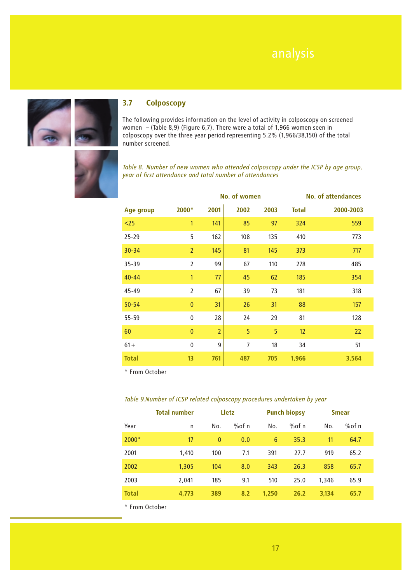

### **3.7 Colposcopy**

The following provides information on the level of activity in colposcopy on screened women – (Table 8,9) (Figure 6,7). There were a total of 1,966 women seen in colposcopy over the three year period representing 5.2% (1,966/38,150) of the total number screened.



*Table 8. Number of new women who attended colposcopy under the ICSP by age group, year of first attendance and total number of attendances*

|                  |                |                | No. of women   |      | <b>No. of attendances</b> |           |  |
|------------------|----------------|----------------|----------------|------|---------------------------|-----------|--|
| <b>Age group</b> | 2000*          | 2001           | 2002           | 2003 | <b>Total</b>              | 2000-2003 |  |
| $25$             | 1              | 141            | 85             | 97   | 324                       | 559       |  |
| $25 - 29$        | 5              | 162            | 108            | 135  | 410                       | 773       |  |
| $30 - 34$        | $\overline{2}$ | 145            | 81             | 145  | 373                       | 717       |  |
| 35-39            | $\overline{2}$ | 99             | 67             | 110  | 278                       | 485       |  |
| $40 - 44$        | 1              | 77             | 45             | 62   | 185                       | 354       |  |
| 45-49            | $\overline{2}$ | 67             | 39             | 73   | 181                       | 318       |  |
| $50 - 54$        | $\mathbf{0}$   | 31             | 26             | 31   | 88                        | 157       |  |
| 55-59            | $\pmb{0}$      | 28             | 24             | 29   | 81                        | 128       |  |
| 60               | $\bf{0}$       | $\overline{2}$ | 5              | 5    | 12                        | 22        |  |
| $61 +$           | $\mathbf{0}$   | 9              | $\overline{7}$ | 18   | 34                        | 51        |  |
| <b>Total</b>     | 13             | 761            | 487            | 705  | 1,966                     | 3,564     |  |

\* From October

### *Table 9.Number of ICSP related colposcopy procedures undertaken by year*

|              | <b>Total number</b> |              | Lletz |       | <b>Punch biopsy</b> |       | <b>Smear</b> |
|--------------|---------------------|--------------|-------|-------|---------------------|-------|--------------|
| Year         | n                   | No.          | %ofn  | No.   | % $of n$            | No.   | %of n        |
| $2000*$      | 17                  | $\mathbf{0}$ | 0.0   | 6     | 35.3                | 11    | 64.7         |
| 2001         | 1,410               | 100          | 7.1   | 391   | 27.7                | 919   | 65.2         |
| 2002         | 1,305               | 104          | 8.0   | 343   | 26.3                | 858   | 65.7         |
| 2003         | 2.041               | 185          | 9.1   | 510   | 25.0                | 1,346 | 65.9         |
| <b>Total</b> | 4,773               | 389          | 8.2   | 1,250 | 26.2                | 3,134 | 65.7         |

\* From October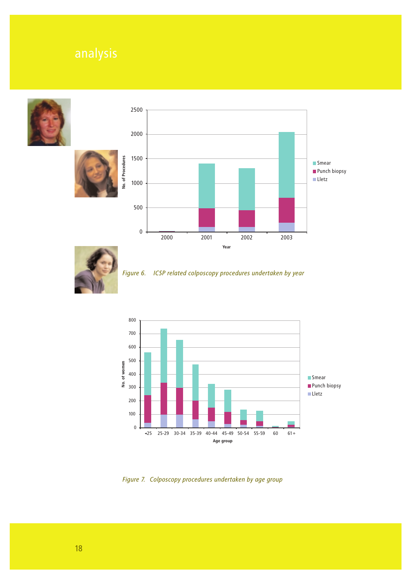







*Figure 6. ICSP related colposcopy procedures undertaken by year* 



*Figure 7. Colposcopy procedures undertaken by age group*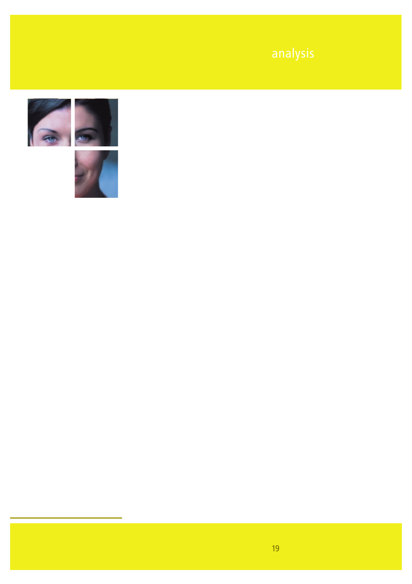